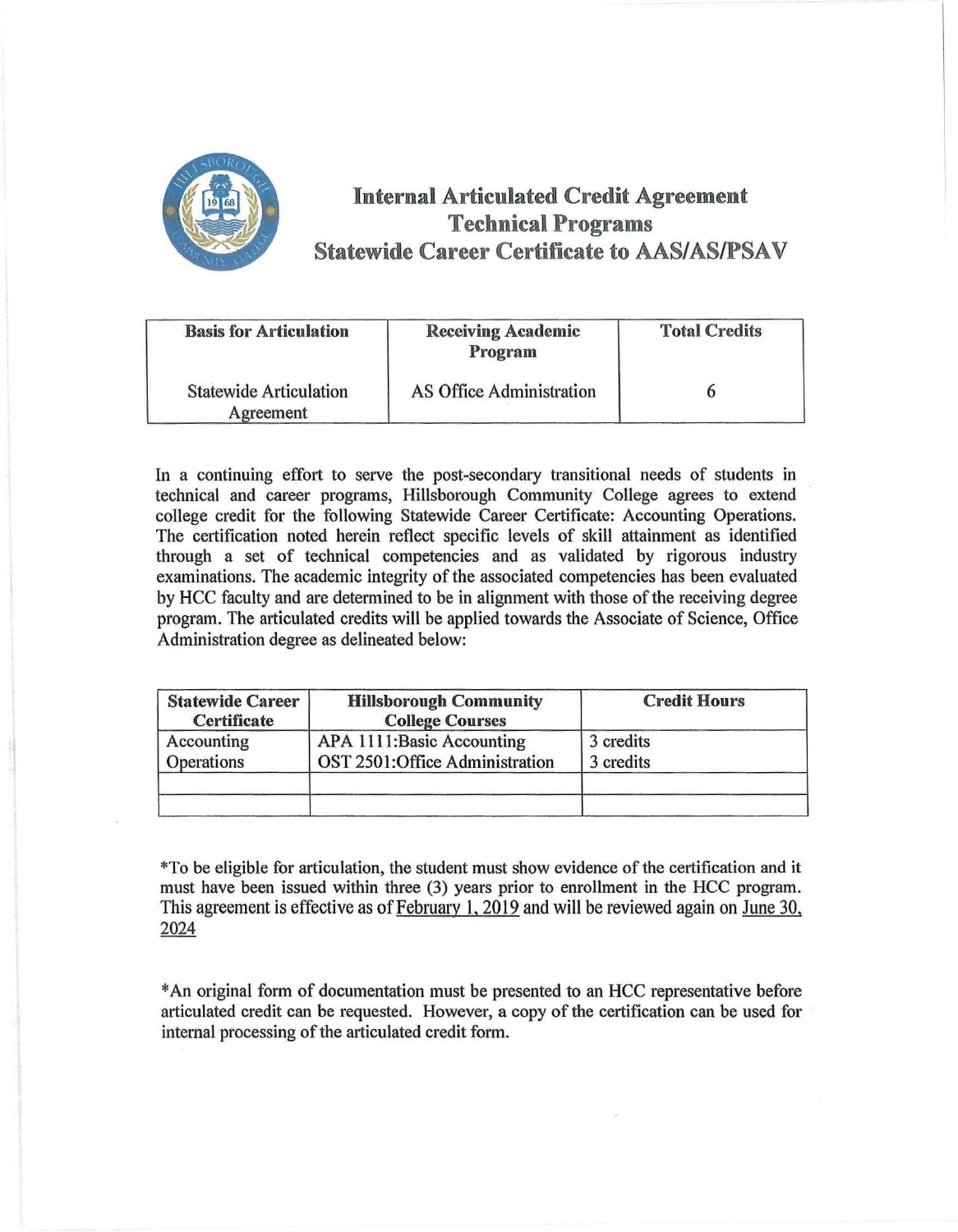

## **Internal Articulated Credit Agreement Technical Programs Statewide Career Certificate to AAS/AS/PSAV**

| <b>Basis for Articulation</b>              | <b>Receiving Academic</b><br>Program | <b>Total Credits</b> |  |  |
|--------------------------------------------|--------------------------------------|----------------------|--|--|
| <b>Statewide Articulation</b><br>Agreement | AS Office Administration             |                      |  |  |

In a continuing effort to serve the post-secondary transitional needs of students in technical and career programs, Hillsborough Community College agrees to extend college credit for the following Statewide Career Certificate: Accounting Operations. The certification noted herein reflect specific levels of skill attainment as identified through a set of technical competencies and as validated by rigorous industry examinations. The academic integrity of the associated competencies has been evaluated by HCC faculty and are determined to be in alignment with those of the receiving degree program. The articulated credits will be applied towards the Associate of Science, Office Administration degree as delineated below:

| <b>Statewide Career</b><br>Certificate | <b>Hillsborough Community</b><br><b>College Courses</b>     | <b>Credit Hours</b>    |  |
|----------------------------------------|-------------------------------------------------------------|------------------------|--|
| Accounting<br>Operations               | APA 1111:Basic Accounting<br>OST 2501:Office Administration | 3 credits<br>3 credits |  |
|                                        |                                                             |                        |  |

\*To be eligible for articulation, the student must show evidence of the certification and it must have been issued within three (3) years prior to enrollment in the HCC program. This agreement is effective as of February 1, 2019 and will be reviewed again on June 30, 2024

\* An original form of documentation must be presented to an HCC representative before articulated credit can be requested. However, a copy of the certification can be used for internal processing of the articulated credit form.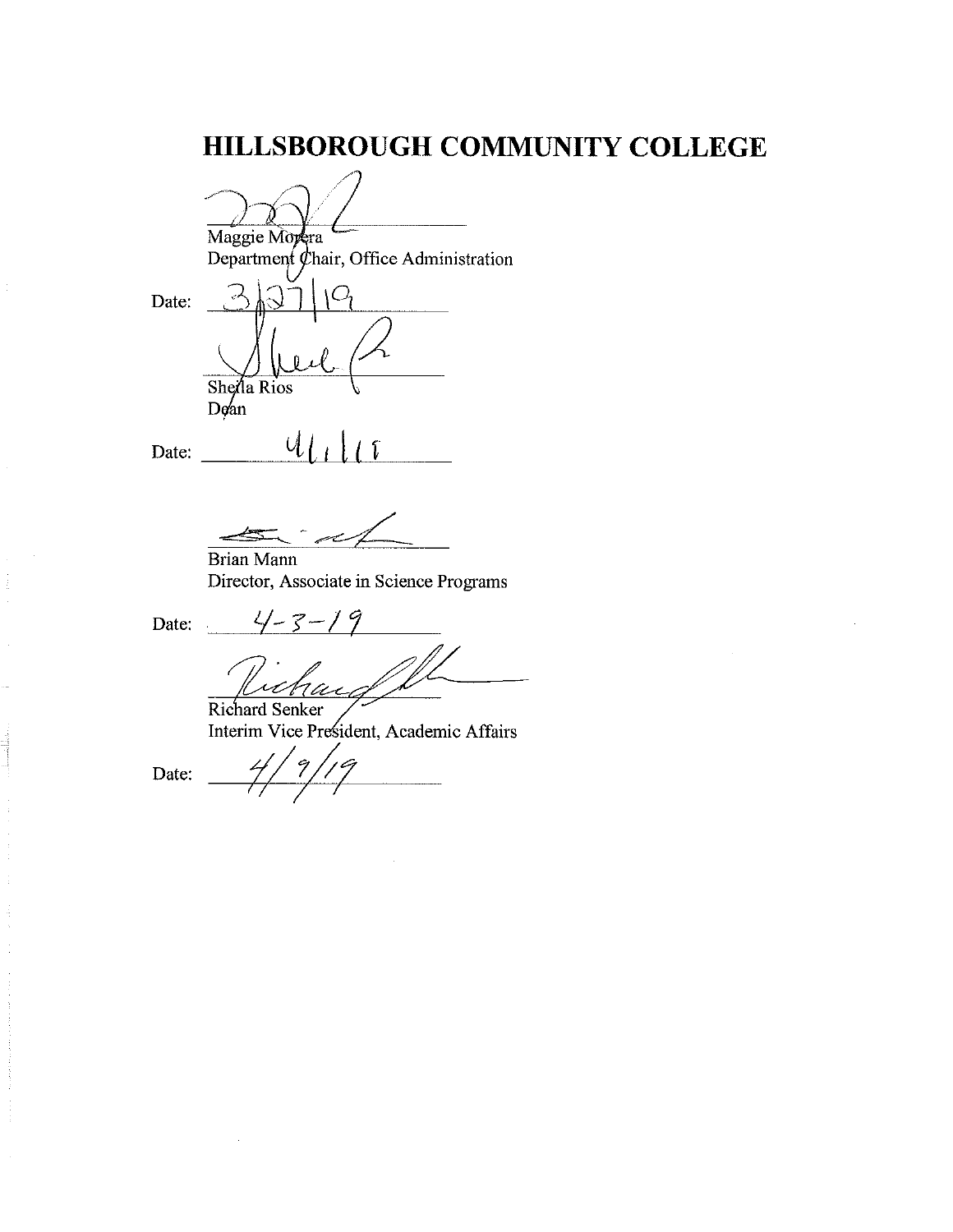# **HILLSBOROUGH COMMUNITY COLLEGE**

Maggie Morera Department  $\oint$ hair, Office Administration Date: Shella Rios Date: \_\_\_ ut-=-i,,\_1 ,LJll,J, ,\_,cr \_\_

Brian Mann Director, Associate in Science Programs

Date:

 $4 - 3 - 19$ 

Richard Senker Interim Vice President, Academic Affairs<br>Date:  $\frac{4}{7}$  / 9